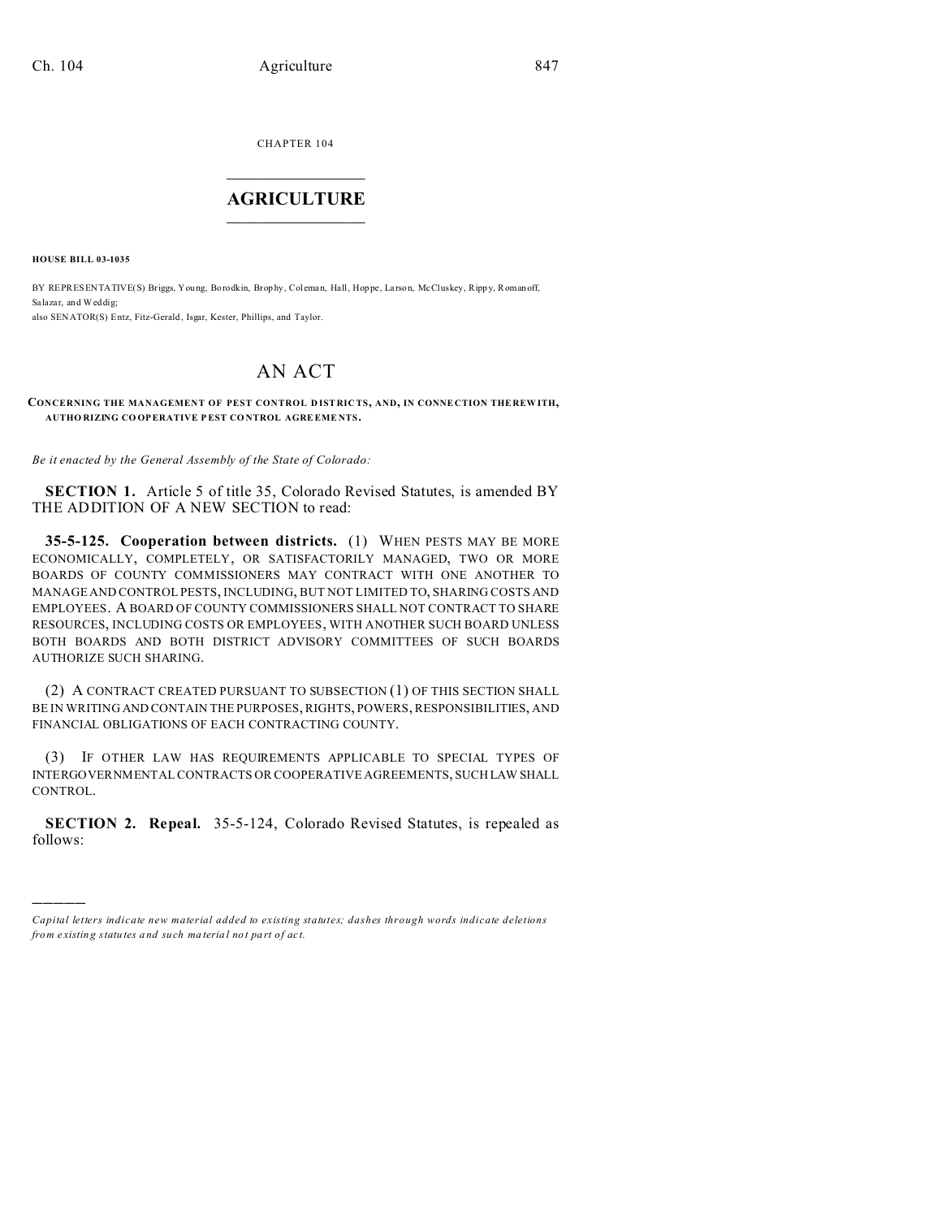CHAPTER 104  $\overline{\phantom{a}}$  , where  $\overline{\phantom{a}}$ 

## **AGRICULTURE**  $\_$   $\_$   $\_$   $\_$   $\_$   $\_$   $\_$   $\_$

**HOUSE BILL 03-1035**

)))))

BY REPRESENTATIVE(S) Briggs, Young, Borodkin, Brophy, Coleman, Hall, Hoppe, Larson, McCluskey, Rippy, Romanoff, Salazar, and Weddig; also SENATOR(S) Entz, Fitz-Gerald , Isgar, Kester, Phillips, and Taylor.

## AN ACT

**CONCERNING THE MANAGEMENT OF PEST CONTROL D IST RIC TS, AND, IN CONNE CTION THE REW ITH, AUTHO RIZING CO OPERATIVE P EST CO NTROL AGRE EME NTS.**

*Be it enacted by the General Assembly of the State of Colorado:*

**SECTION 1.** Article 5 of title 35, Colorado Revised Statutes, is amended BY THE ADDITION OF A NEW SECTION to read:

**35-5-125. Cooperation between districts.** (1) WHEN PESTS MAY BE MORE ECONOMICALLY, COMPLETELY, OR SATISFACTORILY MANAGED, TWO OR MORE BOARDS OF COUNTY COMMISSIONERS MAY CONTRACT WITH ONE ANOTHER TO MANAGE AND CONTROL PESTS, INCLUDING, BUT NOT LIMITED TO, SHARING COSTS AND EMPLOYEES. A BOARD OF COUNTY COMMISSIONERS SHALL NOT CONTRACT TO SHARE RESOURCES, INCLUDING COSTS OR EMPLOYEES, WITH ANOTHER SUCH BOARD UNLESS BOTH BOARDS AND BOTH DISTRICT ADVISORY COMMITTEES OF SUCH BOARDS AUTHORIZE SUCH SHARING.

(2) A CONTRACT CREATED PURSUANT TO SUBSECTION (1) OF THIS SECTION SHALL BE IN WRITING AND CONTAIN THE PURPOSES, RIGHTS, POWERS, RESPONSIBILITIES, AND FINANCIAL OBLIGATIONS OF EACH CONTRACTING COUNTY.

(3) IF OTHER LAW HAS REQUIREMENTS APPLICABLE TO SPECIAL TYPES OF INTERGOVERNMENTAL CONTRACTS OR COOPERATIVE AGREEMENTS, SUCH LAW SHALL CONTROL.

**SECTION 2. Repeal.** 35-5-124, Colorado Revised Statutes, is repealed as follows:

*Capital letters indicate new material added to existing statutes; dashes through words indicate deletions from e xistin g statu tes a nd such ma teria l no t pa rt of ac t.*